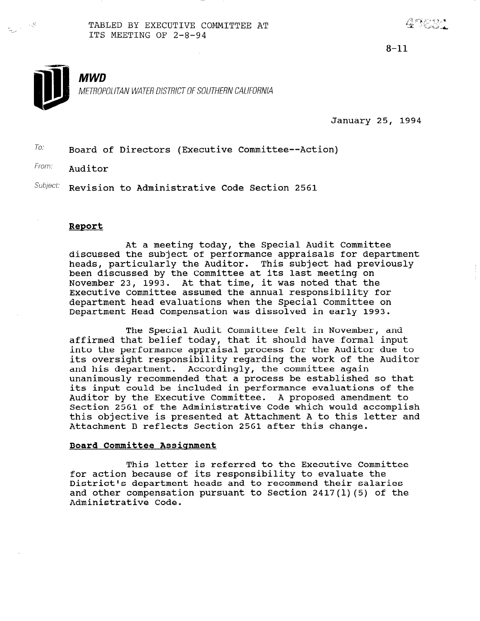TABLED BY EXECUTIVE COMMITTEE AT ITS MEETING OF 2-8-94

 $8 - 11$ 



il

ir<br>1950 -

MWD

METROPOLITAN WATER DISTRICT OF SOUTHERN CALIFORNIA

January 25, 1994

 $T$ <sup>O:</sup> Board of Directors (Executive Committee--Action)

From: Auditor

 $Subject:$  Revision to Administrative Code Section 2561

### Report

At a meeting today, the Special Audit Committee discussed the subject of performance appraisals for department heads, particularly the Auditor. This subject had previously been discussed by the Committee at its last meeting on November 23, 1993. At that time, it was noted that the Executive Committee assumed the annual responsibility for department head evaluations when the Special Committee on Department Head Compensation was dissolved in early 1993.

The Special Audit Committee felt in November, and affirmed that belief today, that it should have formal input into the performance appraisal process for the Auditor due to its oversight responsibility regarding the work of the Auditor and his department. Accordingly, the committee again unanimously recommended that a process be established so that its input could be included in performance evaluations of the Auditor by the Executive Committee. A proposed amendment to Section 2561 of the Administrative Code which would accomplish this objective is presented at Attachment A to this letter and Attachment B reflects Section 2561 after this change.

### Board Committee Assignment

This letter is referred to the Executive Committee for action because of its responsibility to evaluate the District dependent heads and to recommend their salarit and other compensation pursuant to Section 2417(l)(5) of the and other compensation pursuant to Section  $2417(1)(5)$  of the Administrative Code.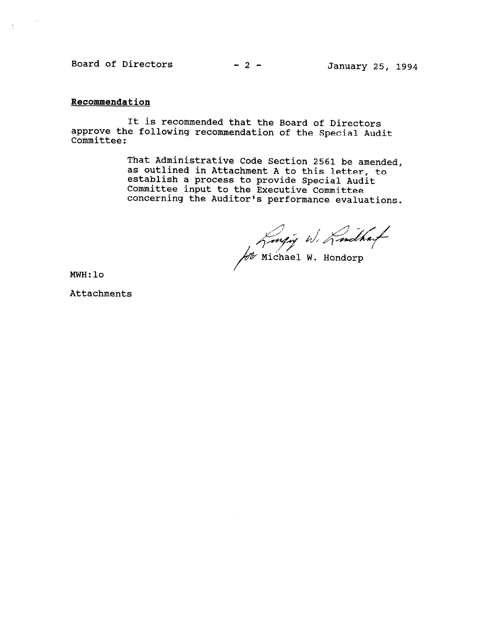Board of Directors  $-2$  - January 25, 1994

# Recommendation

 $\sim 10^4$ 

 $\frac{1}{2}$ 

It is recommended that the Board of Directors approve the following recommendation of the Special Audit Committee:

> That Administrative Code Section 2561 be amended, as outlined in Attachment A to this letter, as outlined in Attachment A to this letter, establish a process to provide special Al Committee input to the Executive Committee concerning the Auditor's performance evaluations.

Longin W. Lindhauf

MWH:lo

Attachments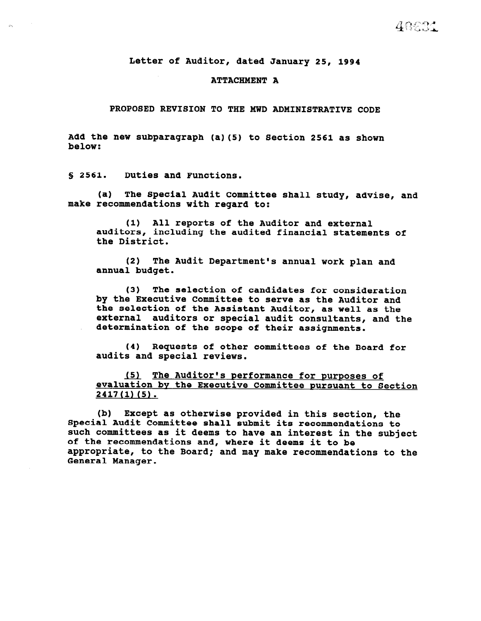Letter of Auditor, dated January 25, 1994

### ATTACHMENT A

PROPOSED REVISION TO THE MWD ADMINISTRATIVE CODE

Add the new subparagraph (a)(5) to Section 2561 as shown below:

5 2561. Duties and Functions.

 $\omega_{\rm N}$ 

(a) The Special Audit Committee shall study, advise, and make recommendations with regard to:

(1) All reports of the Auditor and external auditors, including the audited financial statements of the District.

(2) The Audit Department's annual work plan and annual budget.

(3) The selection of candidates for consideration by the Executive Committee to serve as the Auditor and the selection of the Assistant Auditor, as well as the external auditors or special audit consultants, and the determination of the scope of their assignments.

(4) Requests of other committees of the Board for audits and special reviews.

(5) The Auditor's performance for purposes of evaluation bv the Executive Committee pursuant to Section 2417(l) (5).

(b) Except as otherwise provided in this section, the Special Audit Committee shall submit its recommendations to such committees as it deems to have an interest in the subject of the recommendations and, where it deems it to be appropriate, to the Board; and may make recommendations to the General Manager.